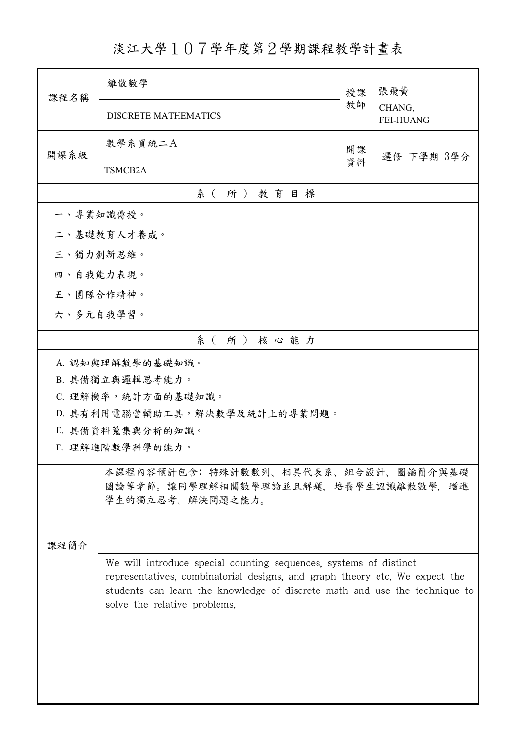## 淡江大學107學年度第2學期課程教學計畫表

| 課程名稱            | 離散數學                                                                                                                                                                                                                                                           | 授課<br>教師 | 張飛黃                        |  |  |  |
|-----------------|----------------------------------------------------------------------------------------------------------------------------------------------------------------------------------------------------------------------------------------------------------------|----------|----------------------------|--|--|--|
|                 | <b>DISCRETE MATHEMATICS</b>                                                                                                                                                                                                                                    |          | CHANG,<br><b>FEI-HUANG</b> |  |  |  |
| 開課系級            | 數學系資統二A                                                                                                                                                                                                                                                        | 開課       |                            |  |  |  |
|                 | 資料<br>TSMCB2A                                                                                                                                                                                                                                                  |          | 選修 下學期 3學分                 |  |  |  |
|                 | 系(所)教育目標                                                                                                                                                                                                                                                       |          |                            |  |  |  |
| 一、專業知識傳授。       |                                                                                                                                                                                                                                                                |          |                            |  |  |  |
| 二、基礎教育人才養成。     |                                                                                                                                                                                                                                                                |          |                            |  |  |  |
| 三、獨力創新思維。       |                                                                                                                                                                                                                                                                |          |                            |  |  |  |
| 四、自我能力表現。       |                                                                                                                                                                                                                                                                |          |                            |  |  |  |
| 五、團隊合作精神。       |                                                                                                                                                                                                                                                                |          |                            |  |  |  |
| 六、多元自我學習。       |                                                                                                                                                                                                                                                                |          |                            |  |  |  |
|                 | 系(所)核心能力                                                                                                                                                                                                                                                       |          |                            |  |  |  |
|                 | A. 認知與理解數學的基礎知識。                                                                                                                                                                                                                                               |          |                            |  |  |  |
|                 | B. 具備獨立與邏輯思考能力。                                                                                                                                                                                                                                                |          |                            |  |  |  |
|                 | C. 理解機率,統計方面的基礎知識。                                                                                                                                                                                                                                             |          |                            |  |  |  |
|                 | D. 具有利用電腦當輔助工具,解決數學及統計上的專業問題。                                                                                                                                                                                                                                  |          |                            |  |  |  |
|                 | E. 具備資料蒐集與分析的知識。                                                                                                                                                                                                                                               |          |                            |  |  |  |
| F. 理解進階數學科學的能力。 |                                                                                                                                                                                                                                                                |          |                            |  |  |  |
|                 | 本課程內容預計包含:特殊計數數列、相異代表系、組合設計、圖論簡介與基礎<br>圖論等章節。讓同學理解相關數學理論並且解題,培養學生認識離散數學,增進<br>學生的獨立思考、解決問題之能力。                                                                                                                                                                 |          |                            |  |  |  |
| 课程简介            |                                                                                                                                                                                                                                                                |          |                            |  |  |  |
|                 | We will introduce special counting sequences, systems of distinct<br>representatives, combinatorial designs, and graph theory etc. We expect the<br>students can learn the knowledge of discrete math and use the technique to<br>solve the relative problems. |          |                            |  |  |  |
|                 |                                                                                                                                                                                                                                                                |          |                            |  |  |  |
|                 |                                                                                                                                                                                                                                                                |          |                            |  |  |  |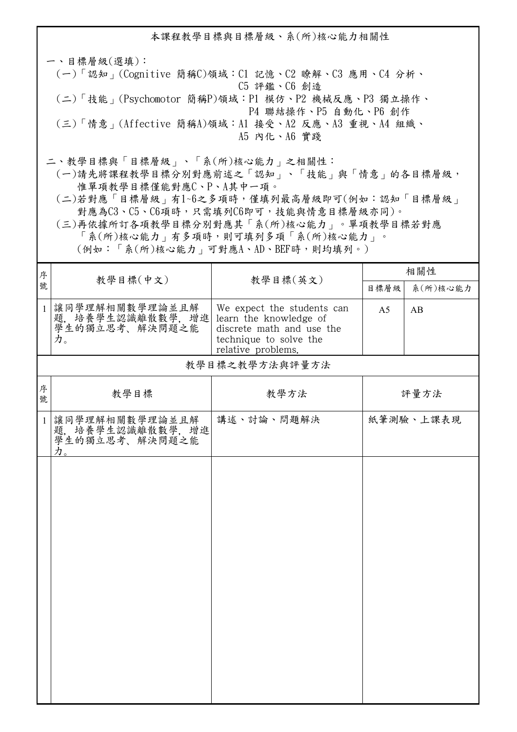本課程教學目標與目標層級、系(所)核心能力相關性 一、目標層級(選填): (一)「認知」(Cognitive 簡稱C)領域:C1 記憶、C2 瞭解、C3 應用、C4 分析、 C5 評鑑、C6 創造 (二)「技能」(Psychomotor 簡稱P)領域:P1 模仿、P2 機械反應、P3 獨立操作、 P4 聯結操作、P5 自動化、P6 創作 (三)「情意」(Affective 簡稱A)領域:A1 接受、A2 反應、A3 重視、A4 組織、 A5 內化、A6 實踐 二、教學目標與「目標層級」、「系(所)核心能力」之相關性:

 (一)請先將課程教學目標分別對應前述之「認知」、「技能」與「情意」的各目標層級, 惟單項教學目標僅能對應C、P、A其中一項。

 (二)若對應「目標層級」有1~6之多項時,僅填列最高層級即可(例如:認知「目標層級」 對應為C3、C5、C6項時,只需填列C6即可,技能與情意目標層級亦同)。

 (三)再依據所訂各項教學目標分別對應其「系(所)核心能力」。單項教學目標若對應 「系(所)核心能力」有多項時,則可填列多項「系(所)核心能力」。

(例如:「系(所)核心能力」可對應A、AD、BEF時,則均填列。)

| 序            |                                                             |                                                                                                                                   | 相關性            |           |  |  |
|--------------|-------------------------------------------------------------|-----------------------------------------------------------------------------------------------------------------------------------|----------------|-----------|--|--|
| 號            | 教學目標(中文)                                                    | 教學目標(英文)                                                                                                                          | 目標層級           | 系(所)核心能力  |  |  |
| $\mathbf{1}$ | 讓同學理解相關數學理論並且解<br>题, 培養學生認識離散數學, 增進<br>學生的獨立思考、解決問題之能<br>力。 | We expect the students can<br>learn the knowledge of<br>discrete math and use the<br>technique to solve the<br>relative problems. | A <sub>5</sub> | AB        |  |  |
|              | 教學目標之教學方法與評量方法                                              |                                                                                                                                   |                |           |  |  |
| 序<br>號       | 教學目標                                                        | 教學方法                                                                                                                              |                | 評量方法      |  |  |
| $\mathbf{1}$ | 讓同學理解相關數學理論並且解<br>疑, 培養學生認識離散數學, 增進<br>學生的獨立思考、解決問題之能<br>力。 | 講述、討論、問題解決                                                                                                                        |                | 紙筆測驗、上課表現 |  |  |
|              |                                                             |                                                                                                                                   |                |           |  |  |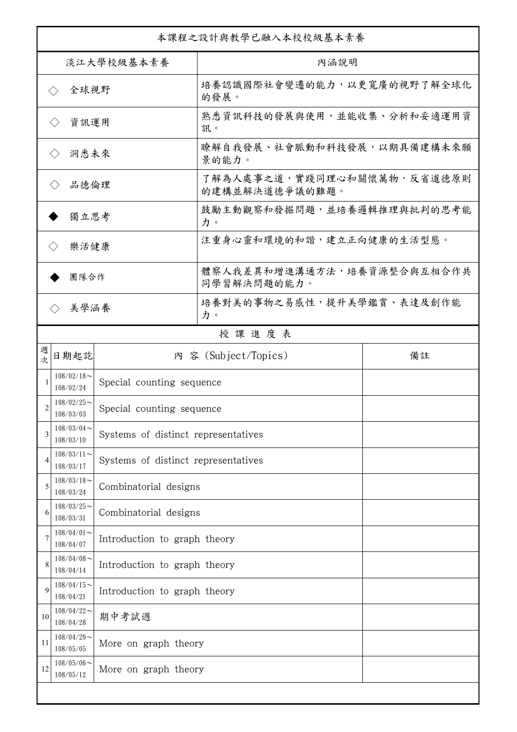| 本課程之設計與教學已融入本校校級基本素養        |                             |                                     |                                              |    |  |
|-----------------------------|-----------------------------|-------------------------------------|----------------------------------------------|----|--|
| 淡江大學校級基本素養                  |                             |                                     | 內涵說明                                         |    |  |
| 全球視野<br>$\langle \ \rangle$ |                             |                                     | 培養認識國際社會變遷的能力,以更寬廣的視野了解全球化<br>的發展。           |    |  |
| 資訊運用<br>$\langle \ \rangle$ |                             |                                     | 熟悉資訊科技的發展與使用,並能收集、分析和妥適運用資<br>訊。             |    |  |
|                             | 洞悉未來<br>$\langle \ \rangle$ |                                     | 瞭解自我發展、社會脈動和科技發展,以期具備建構未來願<br>景的能力。          |    |  |
| 品德倫理<br>$\langle$ $\rangle$ |                             |                                     | 了解為人處事之道,實踐同理心和關懷萬物,反省道德原則<br>的建構並解決道德爭議的難題。 |    |  |
| 獨立思考                        |                             |                                     | 鼓勵主動觀察和發掘問題,並培養邏輯推理與批判的思考能<br>力。             |    |  |
| 樂活健康<br>$\langle \ \rangle$ |                             |                                     | 注重身心靈和環境的和諧,建立正向健康的生活型態。                     |    |  |
|                             | 團隊合作                        |                                     | 體察人我差異和增進溝通方法,培養資源整合與互相合作共<br>同學習解決問題的能力。    |    |  |
| 美學涵養<br>$\langle \ \rangle$ |                             |                                     | 培養對美的事物之易感性,提升美學鑑賞、表達及創作能<br>力。              |    |  |
|                             |                             |                                     | 授課進度表                                        |    |  |
| 週<br>欤                      | 日期起訖                        |                                     | 內 容 (Subject/Topics)                         | 備註 |  |
|                             | $108/02/18$ ~<br>108/02/24  | Special counting sequence           |                                              |    |  |
| 2                           | $108/02/25$ ~<br>108/03/03  | Special counting sequence           |                                              |    |  |
| 3                           | $108/03/04$ ~<br>108/03/10  | Systems of distinct representatives |                                              |    |  |
| $\overline{4}$              | $108/03/11$ ~<br>108/03/17  | Systems of distinct representatives |                                              |    |  |
| 5                           | $108/03/18$ ~<br>108/03/24  | Combinatorial designs               |                                              |    |  |
| 6                           | $108/03/25$ ~<br>108/03/31  | Combinatorial designs               |                                              |    |  |
| 7                           | $108/04/01$ ~<br>108/04/07  | Introduction to graph theory        |                                              |    |  |
| 8                           | $108/04/08$ ~<br>108/04/14  | Introduction to graph theory        |                                              |    |  |
| 9                           | $108/04/15$ ~<br>108/04/21  | Introduction to graph theory        |                                              |    |  |
| 10                          | $108/04/22$ ~<br>108/04/28  | 期中考試週                               |                                              |    |  |
| 11                          | $108/04/29$ ~<br>108/05/05  | More on graph theory                |                                              |    |  |
| 12                          | $108/05/06$ ~<br>108/05/12  | More on graph theory                |                                              |    |  |
|                             |                             |                                     |                                              |    |  |